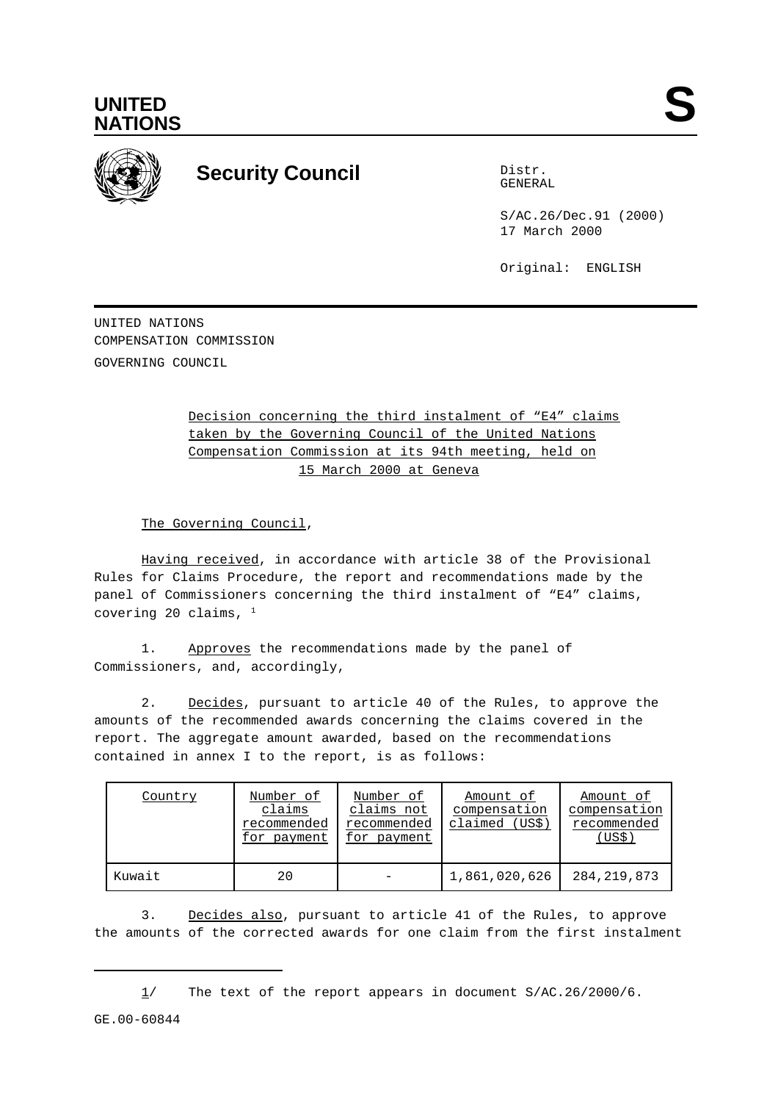



## **Security Council** Distribution Distribution

GENERAL

S/AC.26/Dec.91 (2000) 17 March 2000

Original: ENGLISH

UNITED NATIONS COMPENSATION COMMISSION GOVERNING COUNCIL

> Decision concerning the third instalment of "E4" claims taken by the Governing Council of the United Nations Compensation Commission at its 94th meeting, held on 15 March 2000 at Geneva

The Governing Council,

Having received, in accordance with article 38 of the Provisional Rules for Claims Procedure, the report and recommendations made by the panel of Commissioners concerning the third instalment of "E4" claims, covering 20 claims,  $1$ 

1. Approves the recommendations made by the panel of Commissioners, and, accordingly,

2. Decides, pursuant to article 40 of the Rules, to approve the amounts of the recommended awards concerning the claims covered in the report. The aggregate amount awarded, based on the recommendations contained in annex I to the report, is as follows:

| Country | Number of<br>claims<br>recommended<br>for payment | Number of<br>claims not<br>recommended<br>for payment | Amount of<br>compensation<br>claimed (US\$) | Amount of<br>compensation<br>recommended<br>(US\$) |
|---------|---------------------------------------------------|-------------------------------------------------------|---------------------------------------------|----------------------------------------------------|
| Kuwait  | 20                                                |                                                       | 1,861,020,626                               | 284, 219, 873                                      |

3. Decides also, pursuant to article 41 of the Rules, to approve the amounts of the corrected awards for one claim from the first instalment

1/ The text of the report appears in document S/AC.26/2000/6.